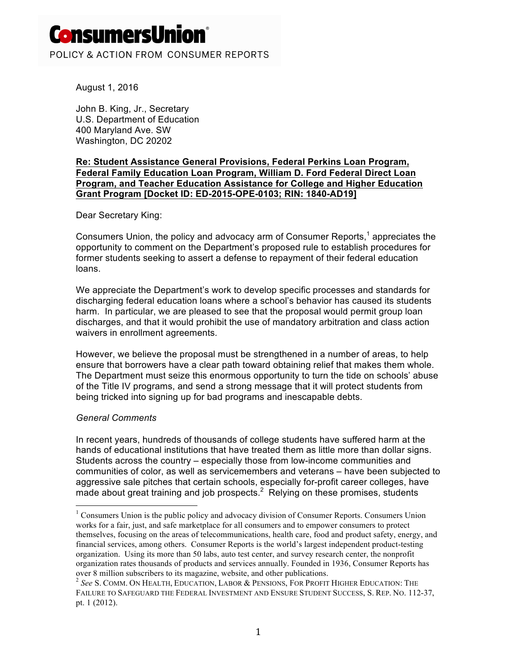# **ConsumersUn**

POLICY & ACTION FROM CONSUMER REPORTS

August 1, 2016

John B. King, Jr., Secretary U.S. Department of Education 400 Maryland Ave. SW Washington, DC 20202

### **Re: Student Assistance General Provisions, Federal Perkins Loan Program, Federal Family Education Loan Program, William D. Ford Federal Direct Loan Program, and Teacher Education Assistance for College and Higher Education Grant Program [Docket ID: ED-2015-OPE-0103; RIN: 1840-AD19]**

Dear Secretary King:

Consumers Union, the policy and advocacy arm of Consumer Reports, $<sup>1</sup>$  appreciates the</sup> opportunity to comment on the Department's proposed rule to establish procedures for former students seeking to assert a defense to repayment of their federal education loans.

We appreciate the Department's work to develop specific processes and standards for discharging federal education loans where a school's behavior has caused its students harm. In particular, we are pleased to see that the proposal would permit group loan discharges, and that it would prohibit the use of mandatory arbitration and class action waivers in enrollment agreements.

However, we believe the proposal must be strengthened in a number of areas, to help ensure that borrowers have a clear path toward obtaining relief that makes them whole. The Department must seize this enormous opportunity to turn the tide on schools' abuse of the Title IV programs, and send a strong message that it will protect students from being tricked into signing up for bad programs and inescapable debts.

#### *General Comments*

In recent years, hundreds of thousands of college students have suffered harm at the hands of educational institutions that have treated them as little more than dollar signs. Students across the country – especially those from low-income communities and communities of color, as well as servicemembers and veterans – have been subjected to aggressive sale pitches that certain schools, especially for-profit career colleges, have made about great training and job prospects. $2$  Relying on these promises, students

 $1$  Consumers Union is the public policy and advocacy division of Consumer Reports. Consumers Union works for a fair, just, and safe marketplace for all consumers and to empower consumers to protect themselves, focusing on the areas of telecommunications, health care, food and product safety, energy, and financial services, among others. Consumer Reports is the world's largest independent product-testing organization. Using its more than 50 labs, auto test center, and survey research center, the nonprofit organization rates thousands of products and services annually. Founded in 1936, Consumer Reports has over 8 million subscribers to its magazine, website, and other publications.

<sup>2</sup> *See* S. COMM. ON HEALTH, EDUCATION, LABOR & PENSIONS, FOR PROFIT HIGHER EDUCATION: THE FAILURE TO SAFEGUARD THE FEDERAL INVESTMENT AND ENSURE STUDENT SUCCESS, S. REP. NO. 112-37, pt. 1 (2012).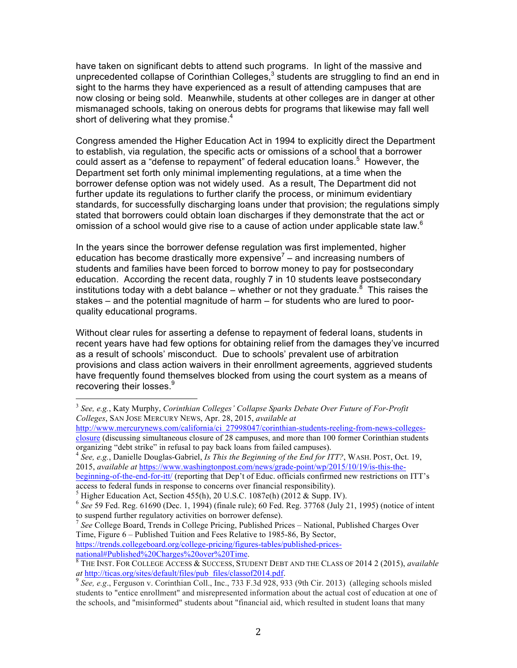have taken on significant debts to attend such programs. In light of the massive and unprecedented collapse of Corinthian Colleges, $<sup>3</sup>$  students are struggling to find an end in</sup> sight to the harms they have experienced as a result of attending campuses that are now closing or being sold. Meanwhile, students at other colleges are in danger at other mismanaged schools, taking on onerous debts for programs that likewise may fall well short of delivering what they promise.<sup>4</sup>

Congress amended the Higher Education Act in 1994 to explicitly direct the Department to establish, via regulation, the specific acts or omissions of a school that a borrower could assert as a "defense to repayment" of federal education loans. 5 However, the Department set forth only minimal implementing regulations, at a time when the borrower defense option was not widely used. As a result, The Department did not further update its regulations to further clarify the process, or minimum evidentiary standards, for successfully discharging loans under that provision; the regulations simply stated that borrowers could obtain loan discharges if they demonstrate that the act or omission of a school would give rise to a cause of action under applicable state law. $^6$ 

In the years since the borrower defense regulation was first implemented, higher education has become drastically more expensive<sup>7</sup> – and increasing numbers of students and families have been forced to borrow money to pay for postsecondary education. According the recent data, roughly 7 in 10 students leave postsecondary institutions today with a debt balance – whether or not they graduate.<sup>8</sup> This raises the stakes – and the potential magnitude of harm – for students who are lured to poorquality educational programs.

Without clear rules for asserting a defense to repayment of federal loans, students in recent years have had few options for obtaining relief from the damages they've incurred as a result of schools' misconduct. Due to schools' prevalent use of arbitration provisions and class action waivers in their enrollment agreements, aggrieved students have frequently found themselves blocked from using the court system as a means of recovering their losses.<sup>9</sup>

<sup>4</sup> *See, e.g.*, Danielle Douglas-Gabriel, *Is This the Beginning of the End for ITT?*, WASH. POST, Oct. 19, 2015, *available at* https://www.washingtonpost.com/news/grade-point/wp/2015/10/19/is-this-the-

beginning-of-the-end-for-itt/ (reporting that Dep't of Educ. officials confirmed new restrictions on ITT's access to federal funds in response to concerns over financial responsibility).

<sup>7</sup> See College Board, Trends in College Pricing, Published Prices – National, Published Charges Over Time, Figure 6 – Published Tuition and Fees Relative to 1985-86, By Sector, https://trends.collegeboard.org/college-pricing/figures-tables/published-prices-

 <sup>3</sup> *See, e.g.*, Katy Murphy, *Corinthian Colleges' Collapse Sparks Debate Over Future of For-Profit Colleges*, SAN JOSE MERCURY NEWS, Apr. 28, 2015, *available at*

http://www.mercurynews.com/california/ci\_27998047/corinthian-students-reeling-from-news-collegesclosure (discussing simultaneous closure of 28 campuses, and more than 100 former Corinthian students organizing "debt strike" in refusal to pay back loans from failed campuses).

<sup>&</sup>lt;sup>5</sup> Higher Education Act, Section 455(h), 20 U.S.C. 1087e(h) (2012 & Supp. IV).<br><sup>6</sup> *See* 59 Fed. Reg. 61690 (Dec. 1, 1994) (finale rule); 60 Fed. Reg. 37768 (July 21, 1995) (notice of intent to suspend further regulatory

national#Published%20Charges%20over%20Time.<br><sup>8</sup> THE INST. FOR COLLEGE ACCESS & SUCCESS, STUDENT DEBT AND THE CLASS OF 2014 2 (2015), *available at* http://ticas.org/sites/default/files/pub\_files/classof2014.pdf. 9 *See, e.g*., Ferguson v. Corinthian Coll., Inc., 733 F.3d 928, 933 (9th Cir. 2013) (alleging schools misled

students to "entice enrollment" and misrepresented information about the actual cost of education at one of the schools, and "misinformed" students about "financial aid, which resulted in student loans that many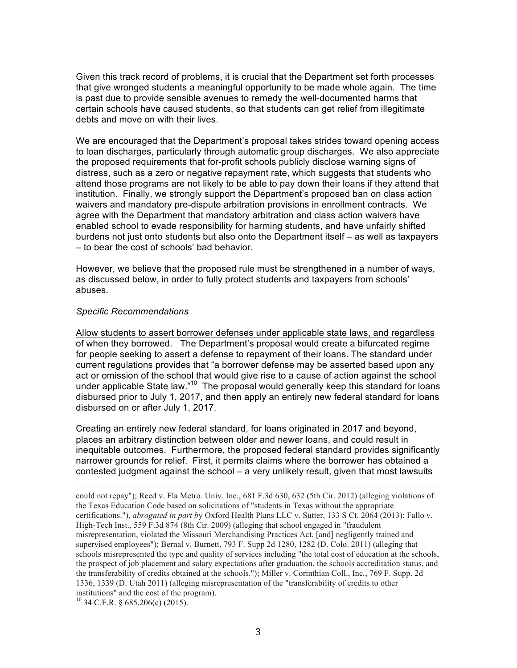Given this track record of problems, it is crucial that the Department set forth processes that give wronged students a meaningful opportunity to be made whole again. The time is past due to provide sensible avenues to remedy the well-documented harms that certain schools have caused students, so that students can get relief from illegitimate debts and move on with their lives.

We are encouraged that the Department's proposal takes strides toward opening access to loan discharges, particularly through automatic group discharges. We also appreciate the proposed requirements that for-profit schools publicly disclose warning signs of distress, such as a zero or negative repayment rate, which suggests that students who attend those programs are not likely to be able to pay down their loans if they attend that institution. Finally, we strongly support the Department's proposed ban on class action waivers and mandatory pre-dispute arbitration provisions in enrollment contracts. We agree with the Department that mandatory arbitration and class action waivers have enabled school to evade responsibility for harming students, and have unfairly shifted burdens not just onto students but also onto the Department itself – as well as taxpayers – to bear the cost of schools' bad behavior.

However, we believe that the proposed rule must be strengthened in a number of ways, as discussed below, in order to fully protect students and taxpayers from schools' abuses.

#### *Specific Recommendations*

Allow students to assert borrower defenses under applicable state laws, and regardless of when they borrowed. The Department's proposal would create a bifurcated regime for people seeking to assert a defense to repayment of their loans. The standard under current regulations provides that "a borrower defense may be asserted based upon any act or omission of the school that would give rise to a cause of action against the school under applicable State law."<sup>10</sup> The proposal would generally keep this standard for loans disbursed prior to July 1, 2017, and then apply an entirely new federal standard for loans disbursed on or after July 1, 2017.

Creating an entirely new federal standard, for loans originated in 2017 and beyond, places an arbitrary distinction between older and newer loans, and could result in inequitable outcomes. Furthermore, the proposed federal standard provides significantly narrower grounds for relief. First, it permits claims where the borrower has obtained a contested judgment against the school – a very unlikely result, given that most lawsuits

<u> 1989 - Andrea San Andrea San Andrea San Andrea San Andrea San Andrea San Andrea San Andrea San Andrea San An</u>

could not repay"); Reed v. Fla Metro. Univ. Inc., 681 F.3d 630, 632 (5th Cir. 2012) (alleging violations of the Texas Education Code based on solicitations of "students in Texas without the appropriate certifications."), *abrogated in part b*y Oxford Health Plans LLC v. Sutter, 133 S Ct. 2064 (2013); Fallo v. High-Tech Inst., 559 F.3d 874 (8th Cir. 2009) (alleging that school engaged in "fraudulent misrepresentation, violated the Missouri Merchandising Practices Act, [and] negligently trained and supervised employees"); Bernal v. Burnett, 793 F. Supp 2d 1280, 1282 (D. Colo. 2011) (alleging that schools misrepresented the type and quality of services including "the total cost of education at the schools, the prospect of job placement and salary expectations after graduation, the schools accreditation status, and the transferability of credits obtained at the schools."); Miller v. Corinthian Coll., Inc*.*, 769 F. Supp. 2d 1336, 1339 (D. Utah 2011) (alleging misrepresentation of the "transferability of credits to other institutions" and the cost of the program).

 $^{10}$  34 C.F.R. § 685.206(c) (2015).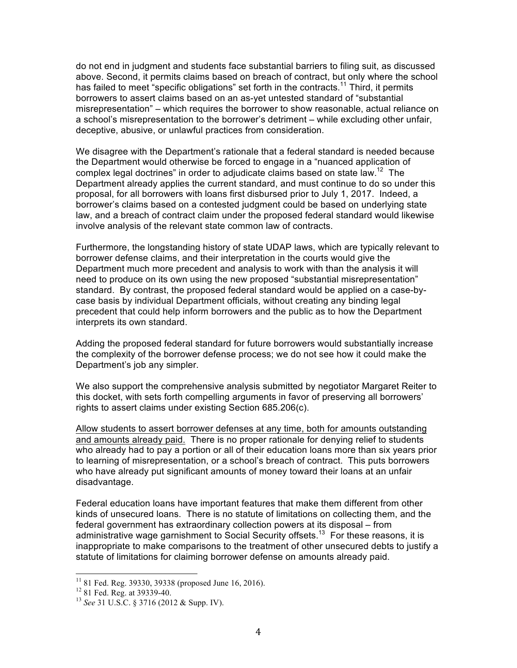do not end in judgment and students face substantial barriers to filing suit, as discussed above. Second, it permits claims based on breach of contract, but only where the school has failed to meet "specific obligations" set forth in the contracts.<sup>11</sup> Third, it permits borrowers to assert claims based on an as-yet untested standard of "substantial misrepresentation" – which requires the borrower to show reasonable, actual reliance on a school's misrepresentation to the borrower's detriment – while excluding other unfair, deceptive, abusive, or unlawful practices from consideration.

We disagree with the Department's rationale that a federal standard is needed because the Department would otherwise be forced to engage in a "nuanced application of complex legal doctrines" in order to adjudicate claims based on state law.<sup>12</sup> The Department already applies the current standard, and must continue to do so under this proposal, for all borrowers with loans first disbursed prior to July 1, 2017. Indeed, a borrower's claims based on a contested judgment could be based on underlying state law, and a breach of contract claim under the proposed federal standard would likewise involve analysis of the relevant state common law of contracts.

Furthermore, the longstanding history of state UDAP laws, which are typically relevant to borrower defense claims, and their interpretation in the courts would give the Department much more precedent and analysis to work with than the analysis it will need to produce on its own using the new proposed "substantial misrepresentation" standard. By contrast, the proposed federal standard would be applied on a case-bycase basis by individual Department officials, without creating any binding legal precedent that could help inform borrowers and the public as to how the Department interprets its own standard.

Adding the proposed federal standard for future borrowers would substantially increase the complexity of the borrower defense process; we do not see how it could make the Department's job any simpler.

We also support the comprehensive analysis submitted by negotiator Margaret Reiter to this docket, with sets forth compelling arguments in favor of preserving all borrowers' rights to assert claims under existing Section 685.206(c).

Allow students to assert borrower defenses at any time, both for amounts outstanding and amounts already paid. There is no proper rationale for denying relief to students who already had to pay a portion or all of their education loans more than six years prior to learning of misrepresentation, or a school's breach of contract. This puts borrowers who have already put significant amounts of money toward their loans at an unfair disadvantage.

Federal education loans have important features that make them different from other kinds of unsecured loans. There is no statute of limitations on collecting them, and the federal government has extraordinary collection powers at its disposal – from administrative wage garnishment to Social Security offsets.<sup>13</sup> For these reasons, it is inappropriate to make comparisons to the treatment of other unsecured debts to justify a statute of limitations for claiming borrower defense on amounts already paid.

 <sup>11</sup> 81 Fed. Reg. 39330, 39338 (proposed June 16, 2016). <sup>12</sup> 81 Fed. Reg. at 39339-40. <sup>13</sup> *See* 31 U.S.C. § 3716 (2012 & Supp. IV).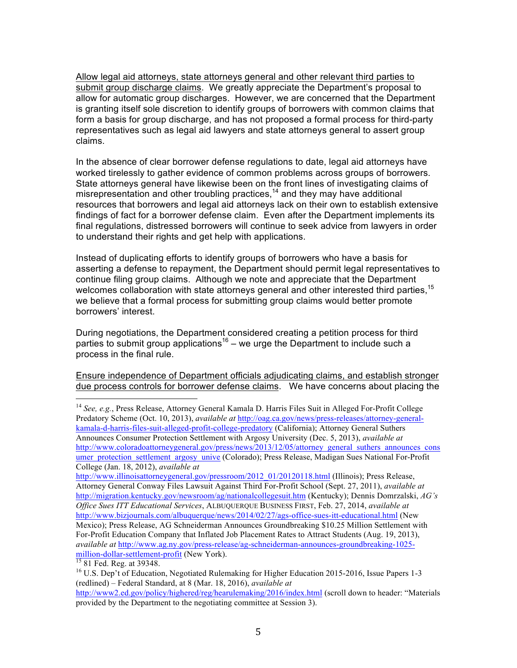Allow legal aid attorneys, state attorneys general and other relevant third parties to submit group discharge claims. We greatly appreciate the Department's proposal to allow for automatic group discharges. However, we are concerned that the Department is granting itself sole discretion to identify groups of borrowers with common claims that form a basis for group discharge, and has not proposed a formal process for third-party representatives such as legal aid lawyers and state attorneys general to assert group claims.

In the absence of clear borrower defense regulations to date, legal aid attorneys have worked tirelessly to gather evidence of common problems across groups of borrowers. State attorneys general have likewise been on the front lines of investigating claims of misrepresentation and other troubling practices,<sup>14</sup> and they may have additional resources that borrowers and legal aid attorneys lack on their own to establish extensive findings of fact for a borrower defense claim. Even after the Department implements its final regulations, distressed borrowers will continue to seek advice from lawyers in order to understand their rights and get help with applications.

Instead of duplicating efforts to identify groups of borrowers who have a basis for asserting a defense to repayment, the Department should permit legal representatives to continue filing group claims. Although we note and appreciate that the Department welcomes collaboration with state attorneys general and other interested third parties,<sup>15</sup> we believe that a formal process for submitting group claims would better promote borrowers' interest.

During negotiations, the Department considered creating a petition process for third parties to submit group applications<sup>16</sup> – we urge the Department to include such a process in the final rule.

Ensure independence of Department officials adjudicating claims, and establish stronger due process controls for borrower defense claims. We have concerns about placing the

http://www.illinoisattorneygeneral.gov/pressroom/2012\_01/20120118.html (Illinois); Press Release, Attorney General Conway Files Lawsuit Against Third For-Profit School (Sept. 27, 2011), *available at*  http://migration.kentucky.gov/newsroom/ag/nationalcollegesuit.htm (Kentucky); Dennis Domrzalski, *AG's Office Sues ITT Educational Services*, ALBUQUERQUE BUSINESS FIRST, Feb. 27, 2014, *available at* http://www.bizjournals.com/albuquerque/news/2014/02/27/ags-office-sues-itt-educational.html (New Mexico); Press Release, AG Schneiderman Announces Groundbreaking \$10.25 Million Settlement with For-Profit Education Company that Inflated Job Placement Rates to Attract Students (Aug. 19, 2013), *available at* http://www.ag.ny.gov/press-release/ag-schneiderman-announces-groundbreaking-1025 million-dollar-settlement-profit (New York).<br><sup>15</sup> 81 Fed. Reg. at 39348.<br><sup>16</sup> U.S. Dep't of Education, Negotiated Rulemaking for Higher Education 2015-2016, Issue Papers 1-3

 <sup>14</sup> *See, e.g.*, Press Release, Attorney General Kamala D. Harris Files Suit in Alleged For-Profit College Predatory Scheme (Oct. 10, 2013), *available at* http://oag.ca.gov/news/press-releases/attorney-generalkamala-d-harris-files-suit-alleged-profit-college-predatory (California); Attorney General Suthers Announces Consumer Protection Settlement with Argosy University (Dec. 5, 2013), *available at* http://www.coloradoattorneygeneral.gov/press/news/2013/12/05/attorney\_general\_suthers\_announces\_cons umer protection settlement argosy unive (Colorado); Press Release, Madigan Sues National For-Profit College (Jan. 18, 2012), *available at*

<sup>(</sup>redlined) – Federal Standard, at 8 (Mar. 18, 2016), *available at* http://www2.ed.gov/policy/highered/reg/hearulemaking/2016/index.html (scroll down to header: "Materials

provided by the Department to the negotiating committee at Session 3).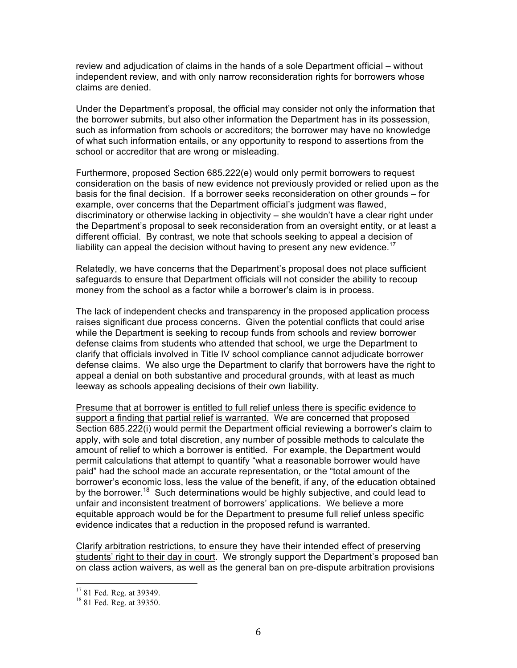review and adjudication of claims in the hands of a sole Department official – without independent review, and with only narrow reconsideration rights for borrowers whose claims are denied.

Under the Department's proposal, the official may consider not only the information that the borrower submits, but also other information the Department has in its possession, such as information from schools or accreditors; the borrower may have no knowledge of what such information entails, or any opportunity to respond to assertions from the school or accreditor that are wrong or misleading.

Furthermore, proposed Section 685.222(e) would only permit borrowers to request consideration on the basis of new evidence not previously provided or relied upon as the basis for the final decision. If a borrower seeks reconsideration on other grounds – for example, over concerns that the Department official's judgment was flawed, discriminatory or otherwise lacking in objectivity – she wouldn't have a clear right under the Department's proposal to seek reconsideration from an oversight entity, or at least a different official. By contrast, we note that schools seeking to appeal a decision of liability can appeal the decision without having to present any new evidence.<sup>17</sup>

Relatedly, we have concerns that the Department's proposal does not place sufficient safeguards to ensure that Department officials will not consider the ability to recoup money from the school as a factor while a borrower's claim is in process.

The lack of independent checks and transparency in the proposed application process raises significant due process concerns. Given the potential conflicts that could arise while the Department is seeking to recoup funds from schools and review borrower defense claims from students who attended that school, we urge the Department to clarify that officials involved in Title IV school compliance cannot adjudicate borrower defense claims. We also urge the Department to clarify that borrowers have the right to appeal a denial on both substantive and procedural grounds, with at least as much leeway as schools appealing decisions of their own liability.

Presume that at borrower is entitled to full relief unless there is specific evidence to support a finding that partial relief is warranted. We are concerned that proposed Section 685.222(i) would permit the Department official reviewing a borrower's claim to apply, with sole and total discretion, any number of possible methods to calculate the amount of relief to which a borrower is entitled. For example, the Department would permit calculations that attempt to quantify "what a reasonable borrower would have paid" had the school made an accurate representation, or the "total amount of the borrower's economic loss, less the value of the benefit, if any, of the education obtained by the borrower.<sup>18</sup> Such determinations would be highly subjective, and could lead to unfair and inconsistent treatment of borrowers' applications. We believe a more equitable approach would be for the Department to presume full relief unless specific evidence indicates that a reduction in the proposed refund is warranted.

Clarify arbitration restrictions, to ensure they have their intended effect of preserving students' right to their day in court. We strongly support the Department's proposed ban on class action waivers, as well as the general ban on pre-dispute arbitration provisions

 $17$  81 Fed. Reg. at 39349.<br><sup>18</sup> 81 Fed. Reg. at 39350.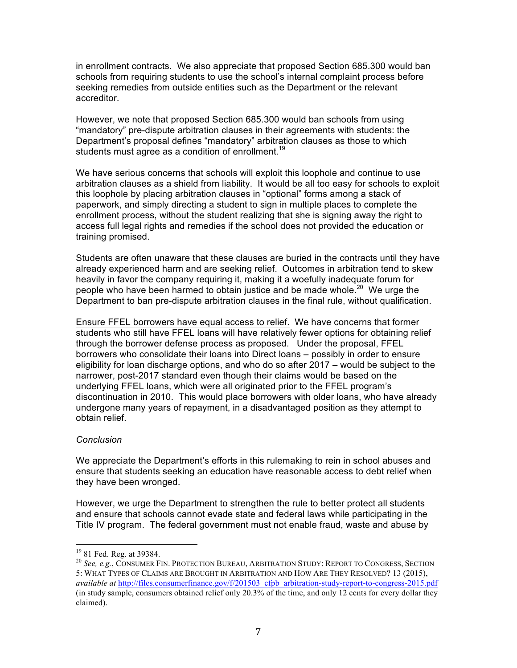in enrollment contracts. We also appreciate that proposed Section 685.300 would ban schools from requiring students to use the school's internal complaint process before seeking remedies from outside entities such as the Department or the relevant accreditor.

However, we note that proposed Section 685.300 would ban schools from using "mandatory" pre-dispute arbitration clauses in their agreements with students: the Department's proposal defines "mandatory" arbitration clauses as those to which students must agree as a condition of enrollment.<sup>19</sup>

We have serious concerns that schools will exploit this loophole and continue to use arbitration clauses as a shield from liability. It would be all too easy for schools to exploit this loophole by placing arbitration clauses in "optional" forms among a stack of paperwork, and simply directing a student to sign in multiple places to complete the enrollment process, without the student realizing that she is signing away the right to access full legal rights and remedies if the school does not provided the education or training promised.

Students are often unaware that these clauses are buried in the contracts until they have already experienced harm and are seeking relief. Outcomes in arbitration tend to skew heavily in favor the company requiring it, making it a woefully inadequate forum for people who have been harmed to obtain justice and be made whole.<sup>20</sup> We urge the Department to ban pre-dispute arbitration clauses in the final rule, without qualification.

Ensure FFEL borrowers have equal access to relief. We have concerns that former students who still have FFEL loans will have relatively fewer options for obtaining relief through the borrower defense process as proposed. Under the proposal, FFEL borrowers who consolidate their loans into Direct loans – possibly in order to ensure eligibility for loan discharge options, and who do so after 2017 – would be subject to the narrower, post-2017 standard even though their claims would be based on the underlying FFEL loans, which were all originated prior to the FFEL program's discontinuation in 2010. This would place borrowers with older loans, who have already undergone many years of repayment, in a disadvantaged position as they attempt to obtain relief.

## *Conclusion*

We appreciate the Department's efforts in this rulemaking to rein in school abuses and ensure that students seeking an education have reasonable access to debt relief when they have been wronged.

However, we urge the Department to strengthen the rule to better protect all students and ensure that schools cannot evade state and federal laws while participating in the Title IV program. The federal government must not enable fraud, waste and abuse by

<sup>&</sup>lt;sup>19</sup> 81 Fed. Reg. at 39384.<br><sup>20</sup> *See. e.g.*, Consumer Fin. Protection Bureau, Arbitration Study: Report to Congress, Section 5: WHAT TYPES OF CLAIMS ARE BROUGHT IN ARBITRATION AND HOW ARE THEY RESOLVED? 13 (2015), *available at* http://files.consumerfinance.gov/f/201503\_cfpb\_arbitration-study-report-to-congress-2015.pdf (in study sample, consumers obtained relief only 20.3% of the time, and only 12 cents for every dollar they claimed).